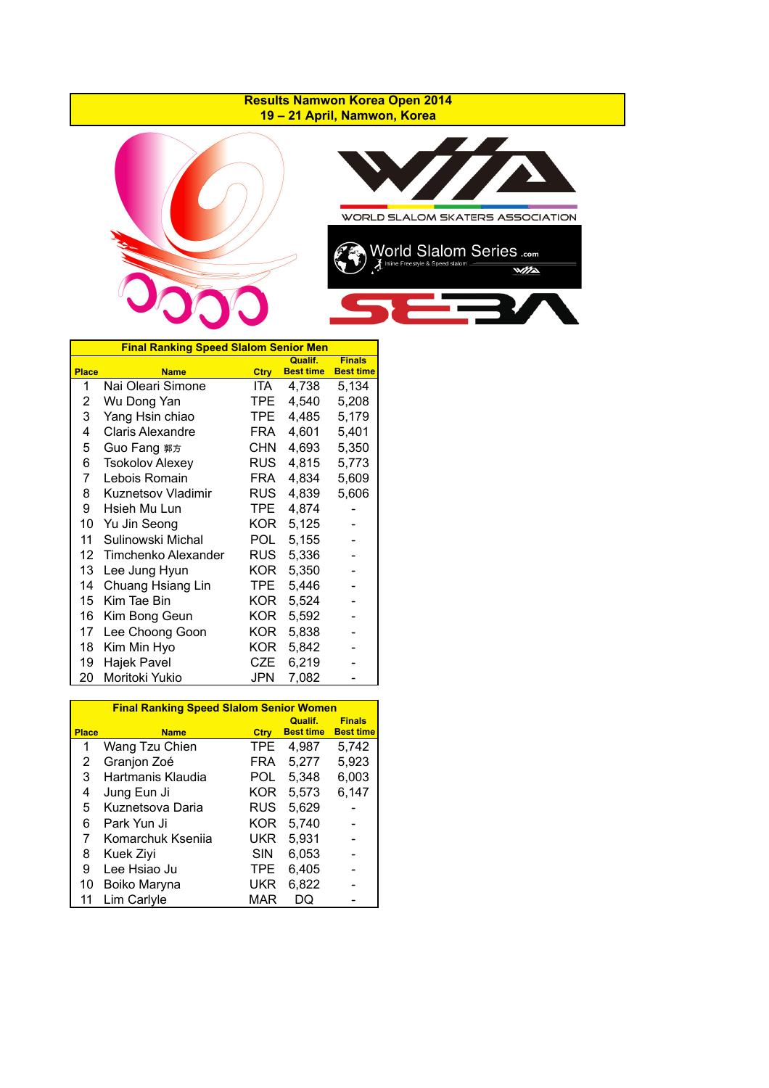## **Results Namwon Korea Open 2014 19 – 21 April, Namwon, Korea**





|              | <b>Final Ranking Speed Slalom Senior Men</b> |            |                             |                                   |
|--------------|----------------------------------------------|------------|-----------------------------|-----------------------------------|
| <b>Place</b> | <b>Name</b>                                  | Ctry       | Qualif.<br><b>Best time</b> | <b>Finals</b><br><b>Best time</b> |
| 1            | Nai Oleari Simone                            | ITA        | 4,738                       | 5,134                             |
| 2            | Wu Dong Yan                                  | TPE        | 4,540                       | 5,208                             |
| 3            | Yang Hsin chiao                              | TPE        | 4,485                       | 5,179                             |
| 4            | <b>Claris Alexandre</b>                      | FRA        | 4,601                       | 5,401                             |
| 5            | Guo Fang 郭方                                  | <b>CHN</b> | 4,693                       | 5,350                             |
| 6            | <b>Tsokolov Alexey</b>                       | <b>RUS</b> | 4,815                       | 5,773                             |
| 7            | Lebois Romain                                | FRA        | 4,834                       | 5,609                             |
| 8            | <b>Kuznetsov Vladimir</b>                    | <b>RUS</b> | 4,839                       | 5,606                             |
| 9            | Hsieh Mu Lun                                 | TPE.       | 4,874                       |                                   |
| 10           | Yu Jin Seong                                 | KOR.       | 5,125                       |                                   |
| 11           | Sulinowski Michal                            | POL.       | 5,155                       |                                   |
| 12           | Timchenko Alexander                          | <b>RUS</b> | 5,336                       |                                   |
| 13           | Lee Jung Hyun                                | KOR.       | 5,350                       |                                   |
| 14           | Chuang Hsiang Lin                            | TPE.       | 5,446                       |                                   |
| 15           | Kim Tae Bin                                  | KOR        | 5,524                       |                                   |
| 16           | Kim Bong Geun                                | KOR        | 5,592                       |                                   |
| 17           | Lee Choong Goon                              | KOR.       | 5,838                       |                                   |
| 18           | Kim Min Hyo                                  | KOR        | 5,842                       |                                   |
| 19           | Hajek Pavel                                  | CZE        | 6,219                       |                                   |
| 20           | Moritoki Yukio                               | JPN        | 7,082                       |                                   |

|              | <b>Final Ranking Speed Slalom Senior Women</b> |            |                             |                                   |
|--------------|------------------------------------------------|------------|-----------------------------|-----------------------------------|
| <b>Place</b> | <b>Name</b>                                    | Ctry       | Qualif.<br><b>Best time</b> | <b>Finals</b><br><b>Best time</b> |
| 1            | Wang Tzu Chien                                 | TPE.       | 4,987                       | 5,742                             |
| 2            | Granjon Zoé                                    | FRA        | 5,277                       | 5,923                             |
| 3            | Hartmanis Klaudia                              | POL        | 5,348                       | 6,003                             |
| 4            | Jung Eun Ji                                    | KOR        | 5.573                       | 6,147                             |
| 5            | Kuznetsova Daria                               | RUS        | 5,629                       |                                   |
| 6            | Park Yun Ji                                    | KOR        | 5,740                       |                                   |
| 7            | Komarchuk Ksenija                              | UKR        | 5,931                       |                                   |
| 8            | Kuek Ziyi                                      | <b>SIN</b> | 6,053                       |                                   |
| 9            | Lee Hsiao Ju                                   | TPE        | 6,405                       |                                   |
| 10           | Boiko Maryna                                   | UKR        | 6,822                       |                                   |
| 11           | Lim Carlyle                                    | MAR        |                             |                                   |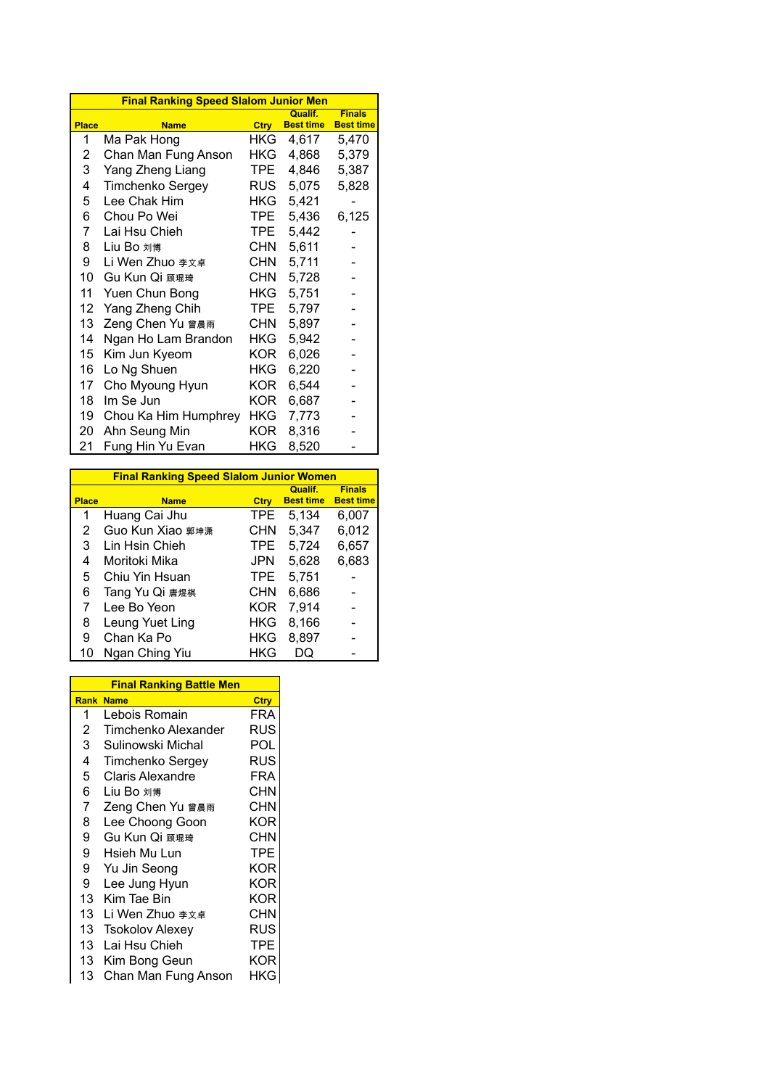|                 | <b>Final Ranking Speed Slalom Junior Men</b> |            |                             |                                   |
|-----------------|----------------------------------------------|------------|-----------------------------|-----------------------------------|
| <b>Place</b>    | <b>Name</b>                                  | Ctry       | Qualif.<br><b>Best time</b> | <b>Finals</b><br><b>Best time</b> |
| 1               | Ma Pak Hong                                  | <b>HKG</b> | 4,617                       | 5,470                             |
| 2               | Chan Man Fung Anson                          | HKG.       | 4,868                       | 5,379                             |
| 3               | Yang Zheng Liang                             | TPE.       | 4,846                       | 5,387                             |
| 4               | Timchenko Sergey                             | <b>RUS</b> | 5,075                       | 5,828                             |
| 5               | Lee Chak Him                                 | HKG I      | 5,421                       |                                   |
| 6               | Chou Po Wei                                  | TPE        | 5,436                       | 6,125                             |
| 7               | Lai Hsu Chieh                                | TPE        | 5,442                       |                                   |
| 8               | Liu Bo 刘博                                    | <b>CHN</b> | 5,611                       |                                   |
| 9               | Li Wen Zhuo 李文卓                              | <b>CHN</b> | 5,711                       |                                   |
| 10              | Gu Kun Qi 顾琨琦                                | CHN.       | 5,728                       |                                   |
| 11              | Yuen Chun Bong                               | HKG.       | 5,751                       |                                   |
| 12              | Yang Zheng Chih                              | TPE.       | 5,797                       |                                   |
| 13              | Zeng Chen Yu 曾晨雨                             | CHN.       | 5,897                       |                                   |
| 14              | Ngan Ho Lam Brandon                          | HKG.       | 5,942                       |                                   |
| 15 <sub>2</sub> | Kim Jun Kyeom                                | KOR.       | 6,026                       |                                   |
| 16              | Lo Ng Shuen                                  | HKG        | 6,220                       |                                   |
| 17              | Cho Myoung Hyun                              | KOR        | 6,544                       |                                   |
| 18              | Im Se Jun                                    | KOR.       | 6,687                       |                                   |
| 19              | Chou Ka Him Humphrey                         | HKG        | 7,773                       |                                   |
| 20              | Ahn Seung Min                                | KOR        | 8,316                       |                                   |
| 21              | Fung Hin Yu Evan                             | HKG        | 8,520                       |                                   |

|              | <b>Final Ranking Speed Slalom Junior Women</b> |            |                                    |                                   |  |  |  |  |  |  |  |  |  |
|--------------|------------------------------------------------|------------|------------------------------------|-----------------------------------|--|--|--|--|--|--|--|--|--|
| <b>Place</b> | <b>Name</b>                                    | Ctry       | <b>Qualif.</b><br><b>Best time</b> | <b>Finals</b><br><b>Best time</b> |  |  |  |  |  |  |  |  |  |
| 1            | Huang Cai Jhu                                  | <b>TPE</b> | 5,134                              | 6,007                             |  |  |  |  |  |  |  |  |  |
| 2            | Guo Kun Xiao 郭坤潇                               | <b>CHN</b> | 5,347                              | 6,012                             |  |  |  |  |  |  |  |  |  |
| 3            | Lin Hsin Chieh                                 | <b>TPE</b> | 5,724                              | 6,657                             |  |  |  |  |  |  |  |  |  |
| 4            | Moritoki Mika                                  | JPN        | 5,628                              | 6,683                             |  |  |  |  |  |  |  |  |  |
| 5            | Chiu Yin Hsuan                                 | TPE.       | 5,751                              |                                   |  |  |  |  |  |  |  |  |  |
| 6            | Tang Yu Qi 唐煜棋                                 | <b>CHN</b> | 6,686                              |                                   |  |  |  |  |  |  |  |  |  |
| 7            | Lee Bo Yeon                                    | <b>KOR</b> | 7,914                              |                                   |  |  |  |  |  |  |  |  |  |
| 8            | Leung Yuet Ling                                | HKG        | 8.166                              |                                   |  |  |  |  |  |  |  |  |  |
| 9            | Chan Ka Po                                     | HKG        | 8,897                              |                                   |  |  |  |  |  |  |  |  |  |
| 10           | Ngan Ching Yiu                                 | HKG        | DO                                 |                                   |  |  |  |  |  |  |  |  |  |

|             | <b>Final Ranking Battle Men</b> |            |  |  |  |  |  |  |  |  |  |
|-------------|---------------------------------|------------|--|--|--|--|--|--|--|--|--|
| <b>Rank</b> | <b>Name</b>                     | Ctry       |  |  |  |  |  |  |  |  |  |
| 1           | Lebois Romain                   | FRA        |  |  |  |  |  |  |  |  |  |
| 2           | Timchenko Alexander             | RUS        |  |  |  |  |  |  |  |  |  |
| 3           | Sulinowski Michal               | POL        |  |  |  |  |  |  |  |  |  |
| 4           | Timchenko Sergey                | RUS        |  |  |  |  |  |  |  |  |  |
| 5           | <b>Claris Alexandre</b>         | FRA        |  |  |  |  |  |  |  |  |  |
| 6           | Liu Bo 刘博                       | <b>CHN</b> |  |  |  |  |  |  |  |  |  |
| 7           | Zeng Chen Yu 曾晨雨                | CHN        |  |  |  |  |  |  |  |  |  |
| 8           | Lee Choong Goon                 | KOR        |  |  |  |  |  |  |  |  |  |
| 9           | Gu Kun Qi 顾琨琦                   | CHN        |  |  |  |  |  |  |  |  |  |
| 9           | Hsieh Mu Lun                    | <b>TPE</b> |  |  |  |  |  |  |  |  |  |
| 9           | Yu Jin Seong                    | KOR        |  |  |  |  |  |  |  |  |  |
| 9           | Lee Jung Hyun                   | KOR        |  |  |  |  |  |  |  |  |  |
| 13          | Kim Tae Bin                     | <b>KOR</b> |  |  |  |  |  |  |  |  |  |
| 13          | Li Wen Zhuo 李文卓                 | CHN        |  |  |  |  |  |  |  |  |  |
| 13          | <b>Tsokolov Alexey</b>          | RUS        |  |  |  |  |  |  |  |  |  |
| 13          | Lai Hsu Chieh                   | TPE        |  |  |  |  |  |  |  |  |  |
| 13          | Kim Bong Geun                   | KOR        |  |  |  |  |  |  |  |  |  |
| 13          | Chan Man Fung Anson             | HKG        |  |  |  |  |  |  |  |  |  |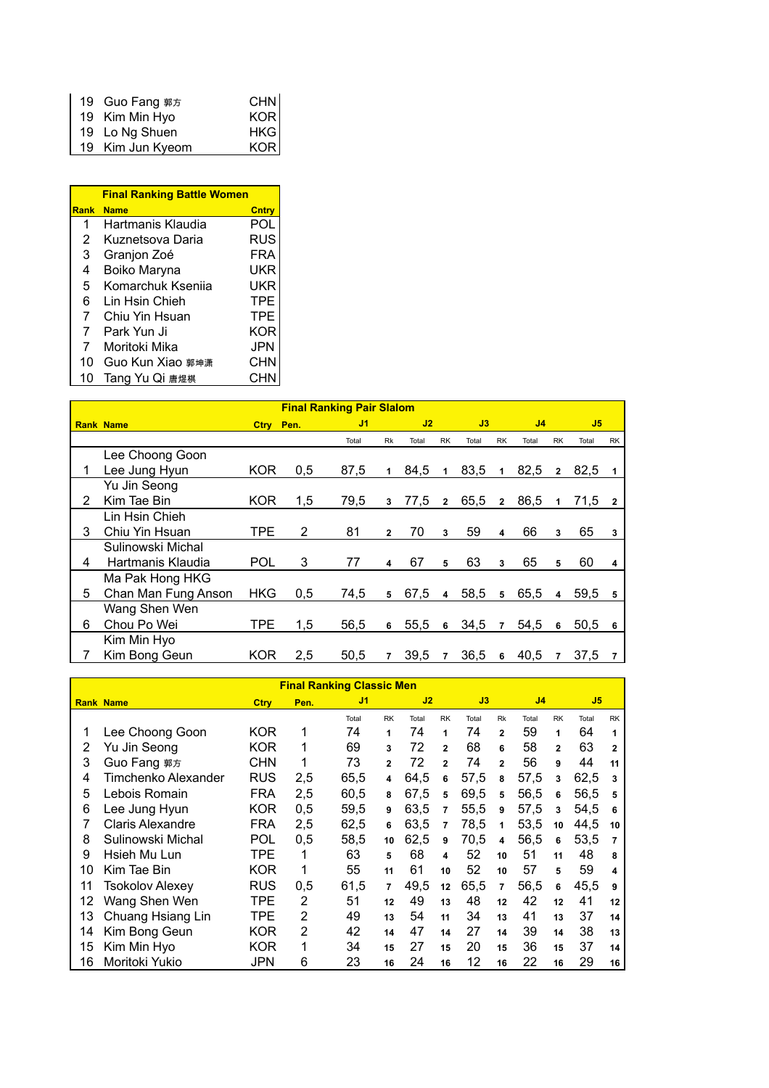| 19 Guo Fang 郭方   | CHN |
|------------------|-----|
| 19 Kim Min Hyo   | KOR |
| 19 Lo Ng Shuen   | HKG |
| 19 Kim Jun Kyeom | KOR |

|                | <b>Final Ranking Battle Women</b> |            |  |  |  |  |  |  |  |  |  |  |  |
|----------------|-----------------------------------|------------|--|--|--|--|--|--|--|--|--|--|--|
| Rank           | <b>Name</b>                       | Cntry      |  |  |  |  |  |  |  |  |  |  |  |
| 1              | Hartmanis Klaudia                 | POL        |  |  |  |  |  |  |  |  |  |  |  |
| 2              | Kuznetsova Daria                  | RUS        |  |  |  |  |  |  |  |  |  |  |  |
| 3              | Granjon Zoé                       | FRA        |  |  |  |  |  |  |  |  |  |  |  |
| 4              | Boiko Maryna                      | UKR        |  |  |  |  |  |  |  |  |  |  |  |
| 5              | Komarchuk Ksenija                 | UKR        |  |  |  |  |  |  |  |  |  |  |  |
| 6              | Lin Hsin Chieh                    | TPF        |  |  |  |  |  |  |  |  |  |  |  |
| $\overline{7}$ | Chiu Yin Hsuan                    | TPF        |  |  |  |  |  |  |  |  |  |  |  |
| $\overline{7}$ | Park Yun Ji                       | <b>KOR</b> |  |  |  |  |  |  |  |  |  |  |  |
| $\overline{7}$ | Moritoki Mika                     | JPN        |  |  |  |  |  |  |  |  |  |  |  |
| 10             | Guo Kun Xiao 郭坤潇                  | CHN        |  |  |  |  |  |  |  |  |  |  |  |
| 10             | Tang Yu Qi 唐煜棋                    | CHN        |  |  |  |  |  |  |  |  |  |  |  |

|   | <b>Final Ranking Pair Slalom</b> |            |           |       |                |       |                |       |                |       |                |                |                |
|---|----------------------------------|------------|-----------|-------|----------------|-------|----------------|-------|----------------|-------|----------------|----------------|----------------|
|   | <b>Rank Name</b>                 |            | Ctry Pen. |       | J1             |       | J2             |       | J3             |       |                | J <sub>5</sub> |                |
|   |                                  |            |           | Total | Rk             | Total | <b>RK</b>      | Total | <b>RK</b>      | Total | <b>RK</b>      | Total          | <b>RK</b>      |
|   | Lee Choong Goon                  |            |           |       |                |       |                |       |                |       |                |                |                |
|   | Lee Jung Hyun                    | <b>KOR</b> | 0,5       | 87,5  | 1              | 84,5  | $\mathbf{1}$   | 83,5  | $\mathbf{1}$   | 82,5  | $\overline{2}$ | 82,5           |                |
|   | Yu Jin Seong                     |            |           |       |                |       |                |       |                |       |                |                |                |
| 2 | Kim Tae Bin                      | <b>KOR</b> | 1,5       | 79,5  | 3              | 77,5  | $\overline{2}$ | 65,5  | $\overline{2}$ | 86,5  | 1              | 71,5           | $\overline{2}$ |
|   | Lin Hsin Chieh                   |            |           |       |                |       |                |       |                |       |                |                |                |
| 3 | Chiu Yin Hsuan                   | TPE        | 2         | 81    | $\overline{2}$ | 70    | 3              | 59    | 4              | 66    | 3              | 65             | 3              |
|   | Sulinowski Michal                |            |           |       |                |       |                |       |                |       |                |                |                |
| 4 | Hartmanis Klaudia                | <b>POL</b> | 3         | 77    | 4              | 67    | 5              | 63    | 3              | 65    | 5              | 60             | 4              |
|   | Ma Pak Hong HKG                  |            |           |       |                |       |                |       |                |       |                |                |                |
| 5 | Chan Man Fung Anson              | <b>HKG</b> | 0,5       | 74,5  | 5              | 67,5  | $\overline{4}$ | 58,5  | 5              | 65,5  | 4              | 59,5           | 5              |
|   | Wang Shen Wen                    |            |           |       |                |       |                |       |                |       |                |                |                |
| 6 | Chou Po Wei                      | <b>TPE</b> | 1,5       | 56,5  | 6              | 55,5  | 6              | 34,5  | $\overline{7}$ | 54,5  | 6              | 50,5           | 6              |
|   | Kim Min Hyo                      |            |           |       |                |       |                |       |                |       |                |                |                |
|   | Kim Bong Geun                    | <b>KOR</b> | 2,5       | 50,5  | $\overline{7}$ | 39,5  | $\overline{7}$ | 36,5  | 6              | 40,5  |                | 37,5           | 7              |

|    | <b>Final Ranking Classic Men</b> |             |                |                |                |       |                |       |                |                |                |       |                |
|----|----------------------------------|-------------|----------------|----------------|----------------|-------|----------------|-------|----------------|----------------|----------------|-------|----------------|
|    | <b>Rank Name</b>                 | <b>Ctry</b> | Pen.           | J <sub>1</sub> |                | J2    |                | J3    |                | J <sub>4</sub> |                | J5    |                |
|    |                                  |             |                | Total          | <b>RK</b>      | Total | <b>RK</b>      | Total | <b>Rk</b>      | Total          | <b>RK</b>      | Total | <b>RK</b>      |
| 1  | Lee Choong Goon                  | <b>KOR</b>  | 1              | 74             | 1              | 74    | 1              | 74    | $\overline{2}$ | 59             | 1              | 64    | 1              |
| 2  | Yu Jin Seong                     | <b>KOR</b>  | 1              | 69             | 3              | 72    | $\overline{2}$ | 68    | 6              | 58             | $\overline{2}$ | 63    | $\overline{2}$ |
| 3  | Guo Fang 郭方                      | <b>CHN</b>  | 1              | 73             | $\mathbf{2}$   | 72    | $\overline{2}$ | 74    | $\overline{2}$ | 56             | 9              | 44    | 11             |
| 4  | Timchenko Alexander              | <b>RUS</b>  | 2,5            | 65.5           | 4              | 64,5  | 6              | 57,5  | 8              | 57,5           | 3              | 62,5  | 3              |
| 5  | Lebois Romain                    | <b>FRA</b>  | 2,5            | 60.5           | 8              | 67.5  | 5              | 69,5  | 5              | 56,5           | 6              | 56,5  | 5              |
| 6  | Lee Jung Hyun                    | <b>KOR</b>  | 0,5            | 59.5           | 9              | 63.5  | $\overline{7}$ | 55,5  | 9              | 57.5           | $\mathbf{3}$   | 54,5  | 6              |
|    | <b>Claris Alexandre</b>          | <b>FRA</b>  | 2,5            | 62,5           | 6              | 63,5  | 7              | 78,5  | 1              | 53,5           | 10             | 44,5  | 10             |
| 8  | Sulinowski Michal                | POL         | 0,5            | 58,5           | 10             | 62,5  | 9              | 70,5  | 4              | 56,5           | 6              | 53,5  | $\overline{7}$ |
| 9  | Hsieh Mu Lun                     | TPE         | 1              | 63             | 5              | 68    | 4              | 52    | 10             | 51             | 11             | 48    | 8              |
| 10 | Kim Tae Bin                      | <b>KOR</b>  | 1              | 55             | 11             | 61    | 10             | 52    | 10             | 57             | 5              | 59    | 4              |
| 11 | Tsokolov Alexev                  | <b>RUS</b>  | 0,5            | 61,5           | $\overline{7}$ | 49,5  | 12             | 65,5  | $\overline{7}$ | 56,5           | 6              | 45,5  | 9              |
| 12 | Wang Shen Wen                    | TPE         | 2              | 51             | 12             | 49    | 13             | 48    | 12             | 42             | 12             | 41    | 12             |
| 13 | Chuang Hsiang Lin                | TPE         | $\overline{2}$ | 49             | 13             | 54    | 11             | 34    | 13             | 41             | 13             | 37    | 14             |
| 14 | Kim Bong Geun                    | <b>KOR</b>  | $\overline{2}$ | 42             | 14             | 47    | 14             | 27    | 14             | 39             | 14             | 38    | 13             |
| 15 | Kim Min Hyo                      | <b>KOR</b>  | 1              | 34             | 15             | 27    | 15             | 20    | 15             | 36             | 15             | 37    | 14             |
| 16 | Moritoki Yukio                   | JPN         | 6              | 23             | 16             | 24    | 16             | 12    | 16             | 22             | 16             | 29    | 16             |